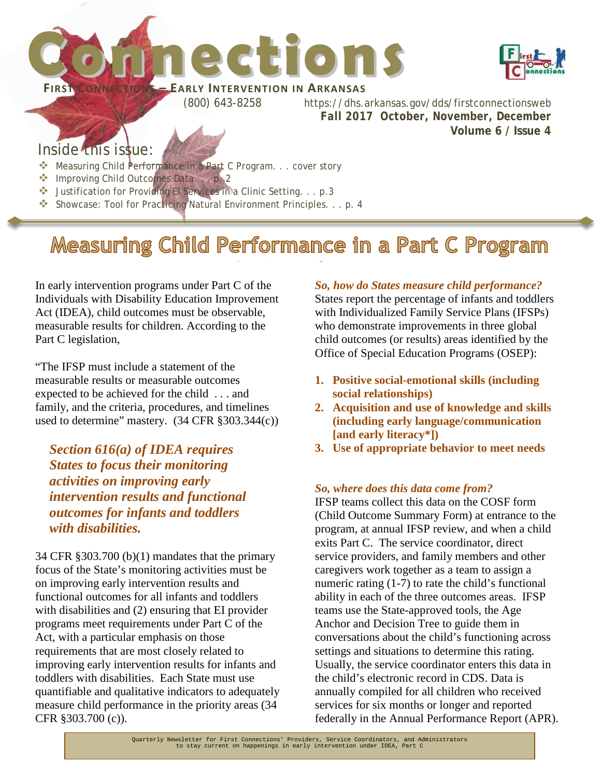



(800) 643-8258 https://dhs.arkansas.gov/dds/firstconnectionsweb *Fall 2017 October, November, December*  **Volume 6 / Issue 4**

### Inside this issue:

- **Measuring Child Performance in a Part C Program.** . . cover story
- **Improving Child Outcomes Data....p. 2**
- Justification for Providing EI Services in a Clinic Setting. . . p.3
- Showcase: Tool for Practicing Natural Environment Principles. . . p. 4

### Measuring Child Performance in a Part C Program

In early intervention programs under Part C of the Individuals with Disability Education Improvement Act (IDEA), child outcomes must be observable, measurable results for children. According to the Part C legislation,

"The IFSP must include a statement of the measurable results or measurable outcomes expected to be achieved for the child . . . and family, and the criteria, procedures, and timelines used to determine" mastery. (34 CFR §303.344(c))

*Section 616(a) of IDEA requires States to focus their monitoring activities on improving early intervention results and functional outcomes for infants and toddlers with disabilities.* 

34 CFR §303.700 (b)(1) mandates that the primary focus of the State's monitoring activities must be on improving early intervention results and functional outcomes for all infants and toddlers with disabilities and (2) ensuring that EI provider programs meet requirements under Part C of the Act, with a particular emphasis on those requirements that are most closely related to improving early intervention results for infants and toddlers with disabilities. Each State must use quantifiable and qualitative indicators to adequately measure child performance in the priority areas (34 CFR §303.700 (c)).

*So, how do States measure child performance?*

States report the percentage of infants and toddlers with Individualized Family Service Plans (IFSPs) who demonstrate improvements in three global child outcomes (or results) areas identified by the Office of Special Education Programs (OSEP):

- **1. Positive social-emotional skills (including social relationships)**
- **2. Acquisition and use of knowledge and skills (including early language/communication [and early literacy\*])**
- **3. Use of appropriate behavior to meet needs**

### *So, where does this data come from?*

IFSP teams collect this data on the COSF form (Child Outcome Summary Form) at entrance to the program, at annual IFSP review, and when a child exits Part C. The service coordinator, direct service providers, and family members and other caregivers work together as a team to assign a numeric rating (1-7) to rate the child's functional ability in each of the three outcomes areas. IFSP teams use the State-approved tools, the Age Anchor and Decision Tree to guide them in conversations about the child's functioning across settings and situations to determine this rating. Usually, the service coordinator enters this data in the child's electronic record in CDS. Data is annually compiled for all children who received services for six months or longer and reported federally in the Annual Performance Report (APR).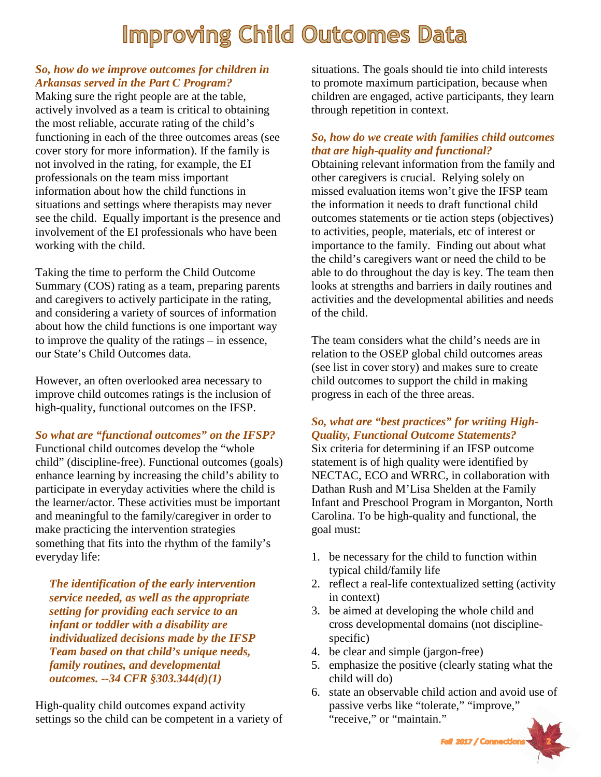### **Improving Child Outcomes Data**

### *So, how do we improve outcomes for children in Arkansas served in the Part C Program?*

Making sure the right people are at the table, actively involved as a team is critical to obtaining the most reliable, accurate rating of the child's functioning in each of the three outcomes areas (see cover story for more information). If the family is not involved in the rating, for example, the EI professionals on the team miss important information about how the child functions in situations and settings where therapists may never see the child. Equally important is the presence and involvement of the EI professionals who have been working with the child.

Taking the time to perform the Child Outcome Summary (COS) rating as a team, preparing parents and caregivers to actively participate in the rating, and considering a variety of sources of information about how the child functions is one important way to improve the quality of the ratings – in essence, our State's Child Outcomes data.

However, an often overlooked area necessary to improve child outcomes ratings is the inclusion of high-quality, functional outcomes on the IFSP.

*So what are "functional outcomes" on the IFSP?*

Functional child outcomes develop the "whole child" (discipline-free). Functional outcomes (goals) enhance learning by increasing the child's ability to participate in everyday activities where the child is the learner/actor. These activities must be important and meaningful to the family/caregiver in order to make practicing the intervention strategies something that fits into the rhythm of the family's everyday life:

*The identification of the early intervention service needed, as well as the appropriate setting for providing each service to an infant or toddler with a disability are individualized decisions made by the IFSP Team based on that child's unique needs, family routines, and developmental outcomes. --34 CFR §303.344(d)(1)*

High-quality child outcomes expand activity settings so the child can be competent in a variety of situations. The goals should tie into child interests to promote maximum participation, because when children are engaged, active participants, they learn through repetition in context.

### *So, how do we create with families child outcomes that are high-quality and functional?*

Obtaining relevant information from the family and other caregivers is crucial. Relying solely on missed evaluation items won't give the IFSP team the information it needs to draft functional child outcomes statements or tie action steps (objectives) to activities, people, materials, etc of interest or importance to the family. Finding out about what the child's caregivers want or need the child to be able to do throughout the day is key. The team then looks at strengths and barriers in daily routines and activities and the developmental abilities and needs of the child.

The team considers what the child's needs are in relation to the OSEP global child outcomes areas (see list in cover story) and makes sure to create child outcomes to support the child in making progress in each of the three areas.

### *So, what are "best practices" for writing High-Quality, Functional Outcome Statements?*

Six criteria for determining if an IFSP outcome statement is of high quality were identified by NECTAC, ECO and WRRC, in collaboration with Dathan Rush and M'Lisa Shelden at the Family Infant and Preschool Program in Morganton, North Carolina. To be high-quality and functional, the goal must:

- 1. be necessary for the child to function within typical child/family life
- 2. reflect a real-life contextualized setting (activity in context)
- 3. be aimed at developing the whole child and cross developmental domains (not disciplinespecific)
- 4. be clear and simple (jargon-free)
- 5. emphasize the positive (clearly stating what the child will do)
- 6. state an observable child action and avoid use of passive verbs like "tolerate," "improve," "receive," or "maintain."

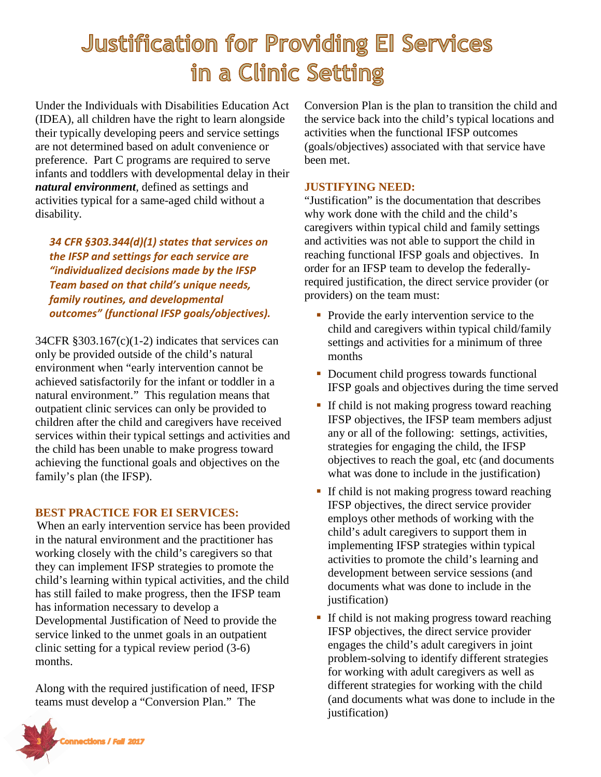## **Justification for Providing El Services** in a Clinic Setting

Under the Individuals with Disabilities Education Act (IDEA), all children have the right to learn alongside their typically developing peers and service settings are not determined based on adult convenience or preference. Part C programs are required to serve infants and toddlers with developmental delay in their *natural environment*, defined as settings and activities typical for a same-aged child without a disability.

*34 CFR §303.344(d)(1) states that services on the IFSP and settings for each service are "individualized decisions made by the IFSP Team based on that child's unique needs, family routines, and developmental outcomes" (functional IFSP goals/objectives).*

 $34CFR \text{ } $303.167(c)(1-2) \text{ indicates that services can}$ only be provided outside of the child's natural environment when "early intervention cannot be achieved satisfactorily for the infant or toddler in a natural environment." This regulation means that outpatient clinic services can only be provided to children after the child and caregivers have received services within their typical settings and activities and the child has been unable to make progress toward achieving the functional goals and objectives on the family's plan (the IFSP).

### **BEST PRACTICE FOR EI SERVICES:**

When an early intervention service has been provided in the natural environment and the practitioner has working closely with the child's caregivers so that they can implement IFSP strategies to promote the child's learning within typical activities, and the child has still failed to make progress, then the IFSP team has information necessary to develop a Developmental Justification of Need to provide the service linked to the unmet goals in an outpatient clinic setting for a typical review period (3-6) months.

Along with the required justification of need, IFSP teams must develop a "Conversion Plan." The



#### **JUSTIFYING NEED:**

"Justification" is the documentation that describes why work done with the child and the child's caregivers within typical child and family settings and activities was not able to support the child in reaching functional IFSP goals and objectives. In order for an IFSP team to develop the federallyrequired justification, the direct service provider (or providers) on the team must:

- **Provide the early intervention service to the** child and caregivers within typical child/family settings and activities for a minimum of three months
- Document child progress towards functional IFSP goals and objectives during the time served
- If child is not making progress toward reaching IFSP objectives, the IFSP team members adjust any or all of the following: settings, activities, strategies for engaging the child, the IFSP objectives to reach the goal, etc (and documents what was done to include in the justification)
- If child is not making progress toward reaching IFSP objectives, the direct service provider employs other methods of working with the child's adult caregivers to support them in implementing IFSP strategies within typical activities to promote the child's learning and development between service sessions (and documents what was done to include in the justification)
- If child is not making progress toward reaching IFSP objectives, the direct service provider engages the child's adult caregivers in joint problem-solving to identify different strategies for working with adult caregivers as well as different strategies for working with the child (and documents what was done to include in the justification)